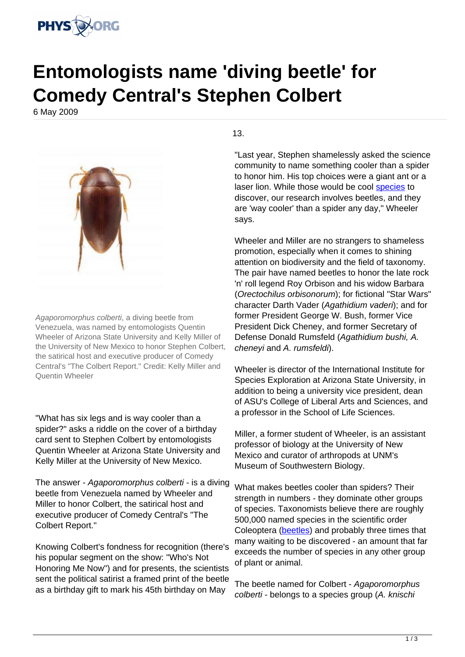

## **Entomologists name 'diving beetle' for Comedy Central's Stephen Colbert**

6 May 2009



Agaporomorphus colberti, a diving beetle from Venezuela, was named by entomologists Quentin Wheeler of Arizona State University and Kelly Miller of the University of New Mexico to honor Stephen Colbert, the satirical host and executive producer of Comedy Central's "The Colbert Report." Credit: Kelly Miller and Quentin Wheeler

"What has six legs and is way cooler than a spider?" asks a riddle on the cover of a birthday card sent to Stephen Colbert by entomologists Quentin Wheeler at Arizona State University and Kelly Miller at the University of New Mexico.

The answer - Agaporomorphus colberti - is a diving beetle from Venezuela named by Wheeler and Miller to honor Colbert, the satirical host and executive producer of Comedy Central's "The Colbert Report."

Knowing Colbert's fondness for recognition (there's his popular segment on the show: "Who's Not Honoring Me Now") and for presents, the scientists sent the political satirist a framed print of the beetle as a birthday gift to mark his 45th birthday on May

13.

"Last year, Stephen shamelessly asked the science community to name something cooler than a spider to honor him. His top choices were a giant ant or a laser lion. While those would be cool [species](https://phys.org/tags/species/) to discover, our research involves beetles, and they are 'way cooler' than a spider any day," Wheeler says.

Wheeler and Miller are no strangers to shameless promotion, especially when it comes to shining attention on biodiversity and the field of taxonomy. The pair have named beetles to honor the late rock 'n' roll legend Roy Orbison and his widow Barbara (Orectochilus orbisonorum); for fictional "Star Wars" character Darth Vader (Agathidium vaderi); and for former President George W. Bush, former Vice President Dick Cheney, and former Secretary of Defense Donald Rumsfeld (Agathidium bushi, A. cheneyi and A. rumsfeldi).

Wheeler is director of the International Institute for Species Exploration at Arizona State University, in addition to being a university vice president, dean of ASU's College of Liberal Arts and Sciences, and a professor in the School of Life Sciences.

Miller, a former student of Wheeler, is an assistant professor of biology at the University of New Mexico and curator of arthropods at UNM's Museum of Southwestern Biology.

What makes beetles cooler than spiders? Their strength in numbers - they dominate other groups of species. Taxonomists believe there are roughly 500,000 named species in the scientific order Coleoptera ([beetles](https://phys.org/tags/beetles/)) and probably three times that many waiting to be discovered - an amount that far exceeds the number of species in any other group of plant or animal.

The beetle named for Colbert - Agaporomorphus colberti - belongs to a species group (A. knischi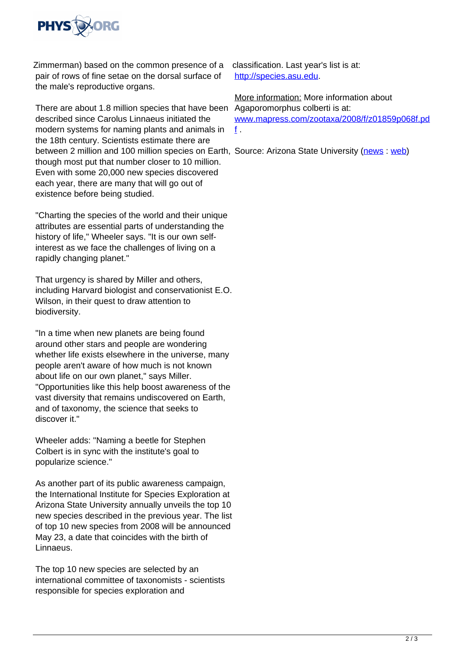

Zimmerman) based on the common presence of a pair of rows of fine setae on the dorsal surface of the male's reproductive organs.

There are about 1.8 million species that have been Agaporomorphus colberti is at: described since Carolus Linnaeus initiated the modern systems for naming plants and animals in the 18th century. Scientists estimate there are between 2 million and 100 million species on Earth, Source: Arizona State University ([news](http://www.physorg.com/partners/arizona-state-university/) : [web\)](http://www.asu.edu/) though most put that number closer to 10 million. Even with some 20,000 new species discovered each year, there are many that will go out of existence before being studied.

"Charting the species of the world and their unique attributes are essential parts of understanding the history of life," Wheeler says. "It is our own selfinterest as we face the challenges of living on a rapidly changing planet."

That urgency is shared by Miller and others, including Harvard biologist and conservationist E.O. Wilson, in their quest to draw attention to biodiversity.

"In a time when new planets are being found around other stars and people are wondering whether life exists elsewhere in the universe, many people aren't aware of how much is not known about life on our own planet," says Miller. "Opportunities like this help boost awareness of the vast diversity that remains undiscovered on Earth, and of taxonomy, the science that seeks to discover it."

Wheeler adds: "Naming a beetle for Stephen Colbert is in sync with the institute's goal to popularize science."

As another part of its public awareness campaign, the International Institute for Species Exploration at Arizona State University annually unveils the top 10 new species described in the previous year. The list of top 10 new species from 2008 will be announced May 23, a date that coincides with the birth of Linnaeus.

The top 10 new species are selected by an international committee of taxonomists - scientists responsible for species exploration and

classification. Last year's list is at: <http://species.asu.edu>.

More information: More information about [www.mapress.com/zootaxa/2008/f/z01859p068f.pd](http://www.mapress.com/zootaxa/2008/f/z01859p068f.pdf)  $f$ .